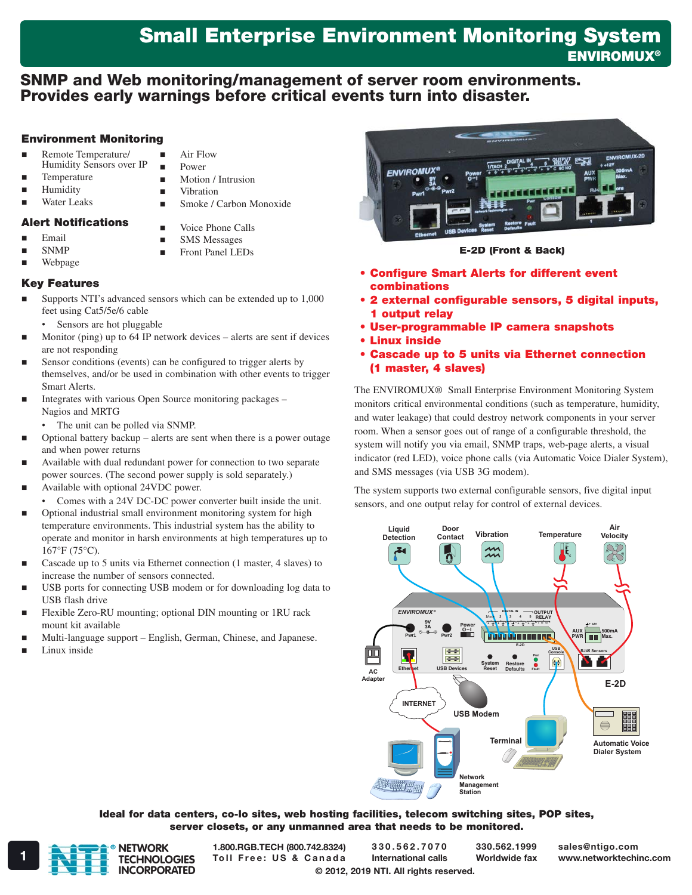# Small Enterprise Environment Monitoring System **ENVIROMUX®**

# SNMP and Web monitoring/management of server room environments. Provides early warnings before critical events turn into disaster.

### Environment Monitoring

- Remote Temperature/ Humidity Sensors over IP
- Temperature
- Humidity
- Water Leaks
- **Power Motion** / Intrusion

**Air Flow** 

- **Vibration**
- Smoke / Carbon Monoxide
- Alert Notifications
- Voice Phone Calls
- Email SNMP
- **SMS** Messages
	- **Front Panel LEDs**

### Webpage Key Features

- Supports NTI's advanced sensors which can be extended up to 1,000 feet using Cat5/5e/6 cable
	- Sensors are hot pluggable
- Monitor (ping) up to 64 IP network devices alerts are sent if devices are not responding
- Sensor conditions (events) can be configured to trigger alerts by themselves, and/or be used in combination with other events to trigger Smart Alerts.
- Integrates with various Open Source monitoring packages Nagios and MRTG
	- The unit can be polled via SNMP.
- Optional battery backup alerts are sent when there is a power outage and when power returns
- Available with dual redundant power for connection to two separate power sources. (The second power supply is sold separately.)
- Available with optional 24VDC power.
- Comes with a 24V DC-DC power converter built inside the unit.
- Optional industrial small environment monitoring system for high temperature environments. This industrial system has the ability to operate and monitor in harsh environments at high temperatures up to 167°F (75°C).
- Cascade up to 5 units via Ethernet connection (1 master, 4 slaves) to increase the number of sensors connected.
- USB ports for connecting USB modem or for downloading log data to USB flash drive
- Flexible Zero-RU mounting; optional DIN mounting or 1RU rack mount kit available
- Multi-language support English, German, Chinese, and Japanese.
- Linux inside



### E-2D (Front & Back)

- • Configure Smart Alerts for different event combinations
- • 2 external configurable sensors, 5 digital inputs, 1 output relay
- • User-programmable IP camera snapshots
- • Linux inside
- • Cascade up to 5 units via Ethernet connection (1 master, 4 slaves)

The ENVIROMUX® Small Enterprise Environment Monitoring System monitors critical environmental conditions (such as temperature, humidity, and water leakage) that could destroy network components in your server room. When a sensor goes out of range of a configurable threshold, the system will notify you via email, SNMP traps, web-page alerts, a visual indicator (red LED), voice phone calls (via Automatic Voice Dialer System), and SMS messages (via USB 3G modem).

The system supports two external configurable sensors, five digital input sensors, and one output relay for control of external devices.



#### Ideal for data centers, co-lo sites, web hosting facilities, telecom switching sites, POP sites, server closets, or any unmanned area that needs to be monitored.



1.800.RGB.TECH (800.742.8324)

© 2012, 2019 NTI. All rights reserved. 330.562.7070 International calls

330.562.1999 Worldwide fax sales@ntigo.com